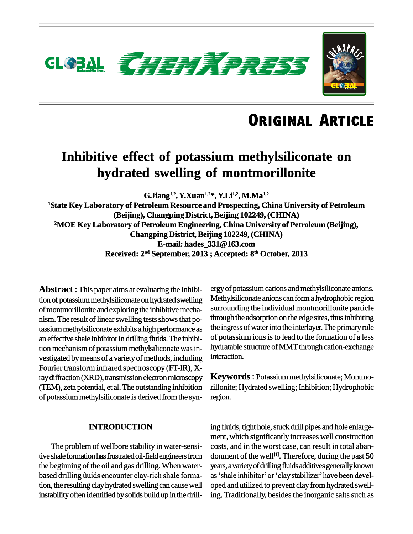

### **Inhibitive effect of potassium methylsiliconate on hydrated swelling of montmorillonite**

**G.Jiang 1,2 , Y.Xuan 1,2\* , Y.Li1,2 , M.Ma 1,2 <sup>1</sup>State Key Laboratory of Petroleum Resource and Prospecting, China University of Petroleum (Beijing), Changping District, Beijing 102249, (CHINA) <sup>2</sup>MOE Key Laboratory of Petroleum Engineering, China University of Petroleum (Beijing), Changping District, Beijing 102249, (CHINA) E-mail: [hades\\_331@163.com](mailto:hades_331@163.com) Received: 2 nd September, 2013 ; Accepted: 8 th October, 2013**

**Abstract** : This paper aims at evaluating the inhibition of potassium methylsiliconate on hydrated swelling of montmorillonite and exploring the inhibitive mecha nism. The result of linear swelling tests shows that potassium methylsiliconate exhibits a high performance as an effective shale inhibitor in drilling fluids. The inhibition mechanism of potassium methylsiliconate was in vestigated by means of a variety of methods, including Fourier transform infrared spectroscopy (FT-IR), Xray diffraction (XRD), transmission electron microscopy (TEM), zeta potential, et al. The outstanding inhibition of potassium methylsiliconate is derived from the syn-

### **INTRODUCTION**

The problem of wellbore stability in water-sensitive shale formation has frustrated oil-field engineers from donment of<br>the beginning of the oil and gas drilling. When water-years, a variet<br>based drilling ûuids encounter clay-rich shale forma-as 'shale inhi the beginning of the oil and gas drilling. When water tion, the resulting clay hydrated swelling can cause well instability often identified by solids build up in the drill-

ergy of potassium cations and methylsiliconate anions. Methylsiliconate anions can form a hydrophobic region surrounding the individual montmorillonite particle through the adsorption on the edge sites, thus inhibiting the ingress of water into the interlayer. The primary role of potassium ions is to lead to the formation of a less hydratable structure of MMT through cation-exchange interaction.

**Keywords** : Potassium methylsiliconate; Montmorillonite; Hydrated swelling; Inhibition; Hydrophobic region.

ing fluids, tight hole, stuck drill pipes and hole enlarge ment, which significantly increases well construction costs, and in the worst case, can result in total aban donment of the well<sup>[1]</sup>. Therefore, during the past 50<br>years, a variety of drilling fluids additives generally known<br>as 'shale inhibitor' or 'clay stabilizer' have been develyears, a variety of drilling fluids additives generally known oped and utilized to prevent clay from hydrated swelling. Traditionally, besides the inorganic salts such as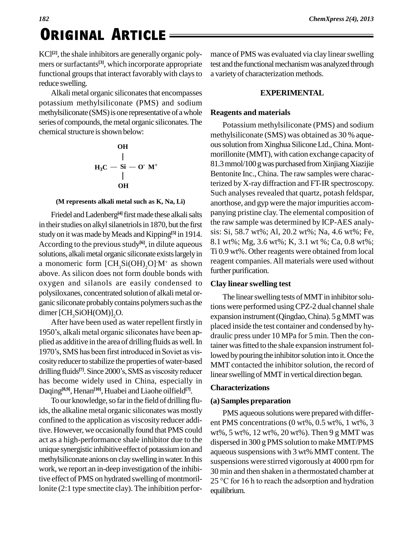# *<sup>182</sup>* **. Original ArticleORIGINAL ARTICLE**

KCl<sup>[2]</sup>, the shale inhibitors are generally organic poly- mar mers or surfactants<sup>[3]</sup>, which incorporate appropriate test an functional groups that interact favorably with clays to reduce swelling.

Alkali metal organic siliconates that encompasses potassium methylsiliconate (PMS) and sodium methylsiliconate (SMS) is one representative of a whole series of compounds, the metal organic siliconates. The chemical structure is shown below:

OH

\n
$$
\begin{array}{c}\n \mid \\
\mid \\
H_3C - Si - O^*M^* \\
\mid \\
\text{OH} \\
\end{array}
$$

#### **(M represents alkali metal such as K, Na, Li)**

Friedel andLadenberg **[4]** firstmadethese alkalisalts in their studies on alkyl silanetriols in 1870, but the first study on it was made by Meads and Kipping<sup>[5]</sup> in 1914. S<sup>19</sup> According to the previous study<sup>[6]</sup>, in dilute aqueous  $\frac{8.1 \text{ V}}{2}$ solutions, alkali metal organic siliconate exists largely in a monomeric form  $\text{[CH}_{3}\text{Si(OH)}_{2}\text{O}^{\text{T}}\text{M}^{\text{+}}$  as shown reagen above. As silicon does not form double bonds with oxygen and silanols are easily condensed to polysiloxanes, concentrated solutionof alkalimetal or ganic siliconate probably contains polymers such as the dimer  $[CH<sub>3</sub>SiOH(OM)]<sub>2</sub>O$ .

After have been used as water repellent firstly in 1950's, alkali metal organic siliconates have been applied as additive in the area of drilling fluids as well. In  $\frac{1}{12}$ 1950's, alkali metal organic siliconates have been ap-<br>plied as additive in the area of drilling fluids as well. In<br>1970's, SMS has been first introduced in Soviet as viscosity reducer to stabilize the properties of water-based drilling fluids<sup>[7]</sup>. Since 2000's, SMS as viscosity reducer 1970's, SMS has been first introduced in Soviet as vishas become widely used in China, especially in Daqing<sup>[8,9]</sup>, Henan<sup>[10]</sup>, Huabei and Liaohe oilfield<sup>[7]</sup>.

To our knowledge, so far in the field of drilling fluids, the alkaline metal organic siliconates was mostly confined to the application as viscosity reducer additive. However, we occasionally found that PMS could act as a high-performance shale inhibitor due to the unique synergistic inhibitive effect of potassium ion and methylsiliconate anions on clay swelling in water. In this work, we report an in-deep investigation of the inhibitive effect of PMS on hydrated swelling of montmorillonite (2:1 type smectite clay). The inhibition performance of PMS was evaluated via clay linear swelling test and the functional mechanism was analyzed through a variety of characterization methods.

### **EXPERIMENTAL**

### **Reagents and materials**

Potassium methylsiliconate (PMS) and sodium methylsiliconate (SMS) was obtained as 30 % aque oussolution fromXinghuaSiliconeLtd.,China.Mont morillonite (MMT), with cation exchange capacity of 81.3mmol/100gwas purchased fromXinjiangXiazijie Bentonite Inc.,China. The raw samples were characterized by X-ray diffraction and FT-IR spectroscopy. Such analyses revealed that quartz, potash feldspar, anorthose, and gyp were the major impurities accompanying pristine clay.The elemental composition of the raw sample was determined by ICP-AES analy sis: Si, 58.7 wt%; Al, 20.2 wt%; Na, 4.6 wt%; Fe, 8.1 wt%; Mg, 3.6 wt%; K, 3.1 wt %; Ca, 0.8 wt%; Ti 0.9 wt%. Other reagents were obtained from local reagent companies.All materials were used without further purification.

### **Clay linear swelling test**

The linear swelling tests of MMT in inhibitor solutions were performed using CPZ-2 dual channel shale expansion instrument (Qingdao, China). 5 g MMT was placed inside the test container and condensed by hy draulic press under 10 MPa for 5 min. Then the container was fitted to the shale expansion instrument followed by pouring the inhibitor solution into it. Once the MMT contacted the inhibitor solution, the record of linear swelling of MMT in vertical direction began.

### **Characterizations**

### **(a) Samples preparation**

PMS aqueous solutions were prepared with different PMS concentrations (0 wt%, 0.5 wt%, 1 wt%, 3 wt%, 5 wt%, 12 wt%, 20 wt%). Then 9 g MMT was dispersed in 300 g PMS solution to make MMT/PMS aqueous suspensions with 3 wt% MMT content. The suspensions were stirred vigorously at 4000 rpm for 30 min and then shaken in a thermostated chamber at suspensions were stirred vigorously at 4000 rpm for<br>30 min and then shaken in a thermostated chamber at<br>25 °C for 16 h to reach the adsorption and hydration equilibrium.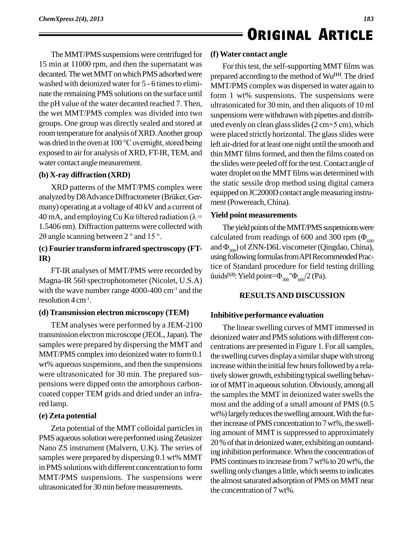The MMT/PMS suspensions were centrifuged for 15 min at 11000 rpm, and then the supernatant was decanted. The wet MMT on which PMS adsorbed were washed with deionized water for 5 - 6 times to eliminate the remaining PMS solutions on the surface until the pH value of the water decanted reached 7. Then, the wet MMT/PMS complex was divided into two groups. One group was directly sealed and stored at uted evenly on clean glass slides  $(2 \text{ cm} \times 5 \text{ cm})$ , which room temperature for analysis of XRD. Another group was dried in the oven at  $100^{\circ}$ C overnight, stored being exposed to air for analysis of XRD, FT-IR, TEM, and water contact angle measurement.

### **(b) X-ray diffraction (XRD)**

XRD patterns of the MMT/PMS complex were (b) X-ray diffraction (XRD)<br>XRD patterns of the MMT/PMS complex were the<br>analyzed by D8 Advance Diffractometer (Brüker, Germany) operating at a voltage of 40 kV and a current of analyzed by D8 Advance Diffractometer (Brüker, Germany) operating at a voltage of 40 kV and a current of ment (P<br>40 mA, and employing Cu K $\alpha$  öltered radiation ( $\lambda$  = **Yield por Filter** 1.5406 nm). Diffraction patterns were collected with 40 mA, and employing Cu K $\alpha$  ültered radiation ( $\lambda$  = 1.5406 nm). Diffraction patterns were collected with 20 angle scanning between 2 ° and 15 °.

### **IR)**

FT-IR analyses of MMT/PMS were recorded by Magna-IR 560 spectrophotometer (Nicolet, U.S.A) with the wave number range  $4000-400$  cm<sup>-1</sup> and the resolution  $4 \text{ cm}^{-1}$ . .

### **(d)Transmission electron microscopy (TEM)**

TEM analyses were performed by a JEM-2100 transmission electron microscope (JEOL, Japan). The samples were prepared by dispersing the MMT and MMT/PMS complex into deionized water to form 0.1 wt% aqueous suspensions, and then the suspensions were ultrasonicated for 30 min. The prepared sus pensions were dipped onto the amorphous carbon coated copper TEM grids and dried under an infrared lamp.

### **(e) Zeta potential**

Zeta potential of the MMT colloidal particles in PMS aqueous solution were performed using Zetasizer Nano ZS instrument (Malvern, U.K). The series of samples were prepared by dispersing 0.1 wt% MMT in PMS solutions with different concentration to form MMT/PMS suspensions. The suspensions were ultrasonicated for 30 min before measurements.

### **(f)Water contact angle**

For this test, the self-supporting MMT films was prepared according to the method of Wu<sup>[11]</sup>. The dried MMT/PMS complex was dispersed in water again to form 1 wt% suspensions. The suspensions were ultrasonicated for 30 min, and then aliquots of 10 ml<br>suspensions were withdrawn with pipettes and distrib-<br>uted evenly on clean glass slides (2 cm×5 cm), which suspensions were withdrawn with pipettes and distribwere placed strictly horizontal. The glass slides were left air-dried for at least one night until the smooth and thin MMT films formed, and then the films coated on the slides were peeled off for the test. Contact angle of water droplet on the MMT films was determined with the static sessile drop method using digital camera equipped on JC2000D contact angle measuring instrument(Powereach,China).

### **Yield point measurements**

(c) **Fourier transform infrared spectroscopy (FT-** and  $\Phi_{300}$ ) of ZNN-D6L viscometer (Qingdao, China), The yield points of the MMT/PMS suspensions were **Yield point measurements**<br>The yield points of the MMT/PMS suspensions were<br>calculated from readings of 600 and 300 rpm ( $\Phi_{600}$ The yield points of the MMT/PMS suspensions were<br>calculated from readings of 600 and 300 rpm ( $\Phi_{600}$ <br>and  $\Phi_{300}$ ) of ZNN-D6L viscometer (Qingdao, China),<br>using following formulas from API Recommended Practice of Standard procedure for field testing drilling using following formulas from API Recommended Pracfollowing formulas from API Recomment of Standard procedure for field testin [12]: Yield point= $\Phi_{300}$ " $\Phi_{600}/2$  (Pa).

### **RESULTSAND DISCUSSION**

### **Inhibitive performance evaluation**

The linear swelling curves of MMT immersed in deionized water and PMS solutions with different concentrations are presented in Figure 1. For allsamples, the swelling curves displaya similarshape with strong increase within the initial few hours followed by a relatively slower growth, exhibiting typical swelling behavior of MMT in aqueous solution. Obviously, among all the samples the MMT in deionized water swells the most and the adding of a small amount of PMS (0.5 wt%) largely reduces the swelling amount. With the further increase of PMS concentration to 7 wt%, the swelling amount of MMT is suppressed to approximately 20 % of that in deionized water, exhibiting an outstanding inhibition performance.When the concentration of PMS continues to increase from 7 wt% to 20 wt%, the swelling only changes a little, which seems to indicates the almost saturated adsorption of PMS on MMT near the concentration of 7 wt%.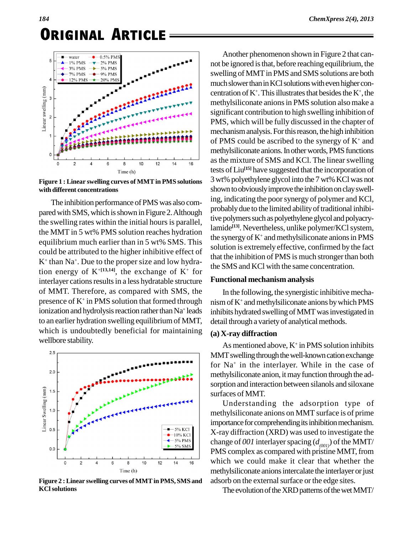

**Figure 1 : Linear swelling curves of MMTin PMS solutions with different concentrations**

The inhibition performance of PMS was also compared with SMS, which is shown in Figure 2. Although the swelling rates within the initial hours is parallel, the MMT in 5 wt% PMS solution reaches hydration equilibrium much earlier than in 5 wt% SMS. This could be attributed to the higher inhibitive effect of  $K^+$  than Na<sup>+</sup>. Due to the proper size and low hydration energy of  $K^{+[13,14]}$ , the exchange of  $K^+$  for interlayer cations results in a less hydratable structure of MMT. Therefore, as compared with SMS, the presence of  $K^+$  in PMS solution that formed through  $\mod$  nism of ionization and hydrolysis reaction rather than Na<sup>+</sup> leads inhib to an earlier hydration swelling equilibriumof MMT, which is undoubtedly beneficial for maintaining wellbore stability.



**Figure 2 :Linear swelling curves of MMTin PMS, SMS and KClsolutions**

Another phenomenon shown in Figure 2 that cannot be ignored is that, before reaching equilibrium, the swelling of MMT in PMS and SMS solutions are both much slower than in KCl solutions with even higher concentration of  $K^{\dagger}$ . This illustrates that besides the  $K^{\dagger}$ , the methylsiliconate anionsin PMS solution alsomake a significant contribution to high swelling inhibition of PMS, which will be fully discussed in the chapter of mechanism analysis. For this reason, the high inhibition of PMS could be ascribed to the synergy of  $K^+$  and methylsiliconate anions. In other words, PMS functions asthe mixture of SMS and KCl. The linearswelling tests of Liu<sup>[15]</sup> have suggested that the incorporation of 3wt%polyethylene glycol into the 7 wt%KClwas not shown to obviously improve the inhibition on clay swelling, indicating the poorsynergy of polymer and KCl, probably due to the limited ability of traditional inhibitive polymers such as polyethylene glycol and polyacrylamide<sup>[13]</sup>. Nevertheless, unlike polymer/KCl system, the synergy of  $K^+$  and methylsiliconate anions in PMS solution is extremely effective, confirmed by the fact that the inhibition of PMS is much stronger than both the SMS and KCl with the same concentration.

### **Functional mechanism analysis**

In the following, the synergistic inhibitive mecha nism of  $K^+$  and methylsiliconate anions by which PMS inhibits hydrated swelling of MMT was investigated in detail through a variety of analytical methods.

### **(a) X-ray diffraction**

As mentioned above,  $K^+$  in PMS solution inhibits MMT swelling through the well-known cation exchange for Na<sup>+</sup> in the interlayer. While in the case of methylsiliconate anion, it may function through the adsorption and interaction between silanols and siloxane surfaces of MMT.

Understanding the adsorption type of methylsiliconate anions on MMT surface is of prime importance for comprehending its inhibition mechanism. X-ray diffraction (XRD) was used to investigate the change of *001* interlayer spacing  $(d_{(001)})$  of the MMT/ PMS complex as compared with pristine MMT, from which we could make it clear that whether the methylsiliconate anions intercalate the interlayer or just adsorb on the external surface or the edge sites.

The evolution of the XRD patterns of the wet MMT/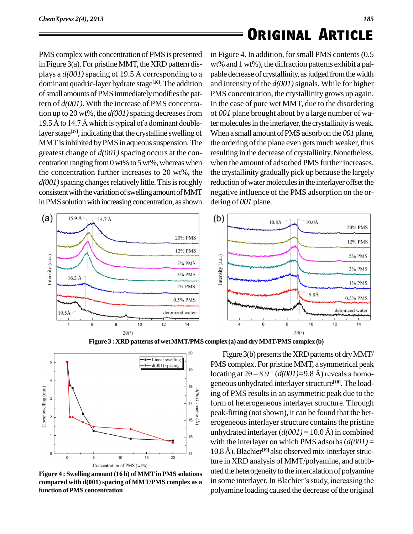PMS complex with concentration of PMS is presented in Figure 3(a). For pristine MMT, the XRD pattern displays a  $d(001)$  spacing of 19.5 Å corresponding to a dominant quadric-layer hydrate stage **[16]**.The addition of small amounts of PMS immediately modifies the pattern of *d(001)*. With the increase of PMS concentration up to 20 wt%, the  $d(001)$  spacing decreases from 19.5 Å to 14.7 Å which is typical of a dominant doublelayer stage<sup>[17]</sup>, indicating that the crystalline swelling of Whe MMT is inhibited by PMS in aqueous suspension. The greatest change of *d(001)*spacing occurs at the con centration ranging from  $0$  wt% to  $5$  wt%, whereas when the concentration further increases to 20 wt%, the *d*(001) spacing changes relatively little. This is roughly consistent with the variation of swelling amount of MMT in PMS solution with increasing concentration, as shown



in Figure 4. In addition, for small PMS contents (0.5) wt% and 1 wt%), the diffraction patterns exhibit a pal pable decrease of crystallinity, as judged from the width and intensity of the *d(001)*signals. While for higher PMS concentration, the crystallinity grows up again. In the case of pure wet MMT, due to the disordering of *001* plane brought about by a large number of water molecules in the interlayer, the crystallinity is weak. When a small amount ofPMS adsorb on the *001* plane, the ordering of the plane even gets much weaker, thus resulting in the decrease of crystallinity. Nonetheless, when the amount of adsorbed PMS further increases, the crystallinity gradually pick up because the largely reduction of water molecules in the interlayer offset the negative influence of the PMS adsorption on the or dering of *001* plane.





**Figure 3 :XRDpatterns of wetMMT/PMS complex (a)and dryMMT/PMS complex (b)**

**compared with d(001)spacing of MMT/PMS complex as a function ofPMS concentration**

10

Concentration of PMS (wt%)

15

 $20$ 

 $\circ$ 

5

**Figure 4 : Swelling amount (16 h) of MMTinPMS solutions** Figure 3(b) presents the XRD patterns of dry MMT/ PMS complex. For pristine MMT, a symmetrical peak locating at  $2\theta = 8.9$  ° ( $d(001) = 9.8$  Å) reveals a homogeneous unhydrated interlayer structure<sup>[18]</sup>. The loading of PMS results in an asymmetric peak due to the form of heterogeneous interlayer structure. Through peak-fitting (not shown), it can be found that the heterogeneous interlayer structure contains the pristine unhydrated interlayer  $(d(001) = 10.0 \text{ Å})$  in combined with the interlayer on which PMS adsorbs  $(d(001) =$ unhydrated interlayer  $(d(001) = 10.0 \text{ Å})$  in combined<br>with the interlayer on which PMS adsorbs  $(d(001) =$ <br>10.8Å). Blachier<sup>[19]</sup> also observed mix-interlayer structure in XRD analysis of MMT/polyamine, and attrib uted the heterogeneity to the intercalation of polyamine ture in XRD analysis of MMT/polyamine, and attributed the heterogeneity to the intercalation of polyamine<br>in some interlayer. In Blachier's study, increasing the polyamine loading caused the decrease of the original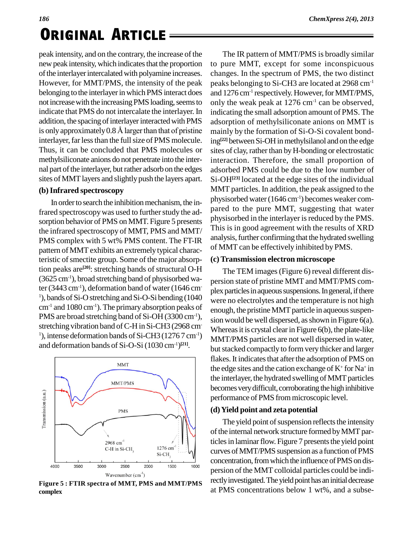peak intensity, and on the contrary, the increase of the new peak intensity, which indicates that the proportion of the interlayer intercalated with polyamine increases. However, for MMT/PMS, the intensity of the peak belonging to the interlayer in which PMS interact does not increase with the increasing PMS loading, seems to indicate that PMS do not intercalate the interlayer. In indicat<br>addition, the spacing of interlayer interacted with PMS adsorp<br>is only approximately 0.8 Å larger than that of pristine mainly addition, the spacing of interlayer interacted with PMS interlayer, far less than the full size of PMS molecule. Thus, it can be concluded that PMS molecules or methylsiliconate anions do not penetrate into the inter nal part of the interlayer, but rather adsorb on the edges sites of MMT layers and slightly push the layers apart.

### **(b)Infrared spectroscopy**

In order to search the inhibition mechanism, the infrared spectroscopy was used to further study the adsorption behavior of PMS on MMT. Figure 5 presents the infrared spectroscopy of MMT, PMS and MMT/ PMS complex with 5 wt% PMS content. The FT-IR pattern of MMT exhibits an extremely typical characteristic of smectite group. Some of the major absorption peaks are **[20]**: stretching bands of structural O-H (3625 cm-1), broad stretching band of physisorbed water (3443 cm<sup>-1</sup>), deformation band of water (1646 cm- $1$ ), bands of Si-O stretching and Si-O-Si bending (1040)  $cm<sup>-1</sup>$  and 1080 cm<sup>-1</sup>). The primary absorption peaks of PMS are broad stretching band of Si-OH (3300 cm<sup>-1</sup>), stretching vibration band of C-H in Si-CH3 (2968 cm-<sup>1</sup>), intense deformation bands of Si-CH3 (1276 7 cm<sup>-1</sup>) and deformation bands of Si-O-Si (1030 cm-1) **[21]**.



**complex**

The IR pattern of MMT/PMS is broadly similar to pure MMT, except for some inconspicuous changes. In the spectrum of PMS, the two distinct peaks belonging to Si-CH3 are located at 2968 cm-1 and 1276 cm<sup>-1</sup> respectively. However, for MMT/PMS, only the weak peak at  $1276 \text{ cm}^{-1}$  can be observed, indicating the small adsorption amount of PMS. The adsorption of methylsiliconate anions on MMT is mainly by the formation of Si-O-Si covalent bonding<sup>[22]</sup> between Si-OH in methylsilanol and on the edge sites of clay, rather than by H-bonding or electrostatic interaction. Therefore, the small proportion of adsorbed PMS could be due to the low number of Si-OH**[23]** located at the edge sites of the individual MMT particles. In addition, the peak assigned to the physisorbed water (1646 cm<sup>-1</sup>) becomes weaker compared to the pure MMT, suggesting that water physisorbed in the interlayer is reduced by the PMS. This is in good agreement with the results of XRD analysis, further confirming that the hydrated swelling of MMT can be effectively inhibited by PMS.

### **(c)Transmission electron microscope**

The TEM images(Figure 6) reveal different dis persion state of pristine MMT and MMT/PMS com plex particles in aqueous suspensions. In general, if there were no electrolytes and the temperature is not high enough, the pristine MMT particle in aqueous suspension would be well dispersed, as shown in Figure 6(a). Whereas it is crystal clear in Figure  $6(b)$ , the plate-like MMT/PMS particles are not well dispersed in water, but stacked compactly to form very thicker and larger flakes. It indicates that after the adsorption of PMS on the edge sites and the cation exchange of  $K^+$  for  $Na^+$  in the interlayer, the hydrated swelling of MMT particles becomes very difficult, corroborating the high inhibitive performance of PMS frommicroscopic level.

### **(d)Yield point and zeta potential**

The yield point of suspension reflects the intensity of the internal network structure formed by MMT particles in laminar flow. Figure 7 presents the yield point curves ofMMT/PMS suspension as a function ofPMS concentration, from which the influence of PMS on dispersion of the MMT colloidal particles could be indirectly investigated. The yield point has an initial decrease at PMS concentrations below <sup>1</sup> wt%, and <sup>a</sup> subse- **Figure <sup>5</sup> : FTIR spectra of MMT, PMS and MMT/PMS**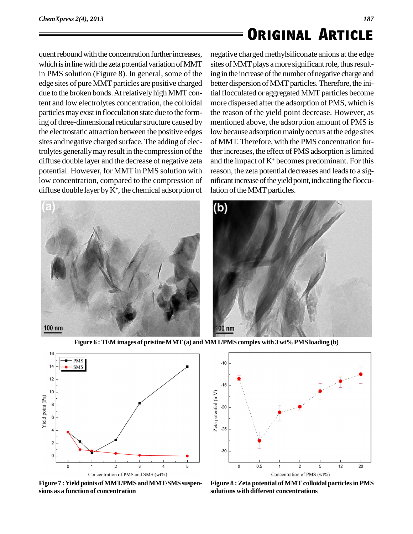quent rebound with the concentration further increases, which is in line with the zeta potential variation of MMT in PMS solution (Figure 8). In general, some of the edge sites of pure MMT particles are positive charged due to the broken bonds. At relatively high MMT content and low electrolytes concentration, the colloidal particles may exist in flocculation state due to the forming of three-dimensional reticular structure caused by the electrostatic attraction between the positive edges sites and negative charged surface.The adding of electrolytes generally may result in the compression of the diffuse double layer and the decrease of negative zeta potential. However, for MMT in PMS solution with low concentration, compared to the compression of diffuse double layer by  $K^+$ , the chemical adsorption of latio



negative charged methylsiliconate anions at the edge sites of MMT plays a more significant role, thus resulting in the increase of the number of negative charge and better dispersion of MMT particles. Therefore, the initial flocculated or aggregated MMT particles become more dispersed after the adsorption of PMS, which is the reason of the yield point decrease. However, as mentioned above, the adsorption amount of PMS is low because adsorption mainly occurs at the edge sites of MMT. Therefore, with the PMS concentration further increases, the effect of PMS adsorption is limited and the impact of  $K^+$  becomes predominant. For this reason, the zeta potential decreases and leads to a significant increase of the yield point, indicating the flocculation of the MMT particles.



**Figure 6 :TEM images of pristineMMT(a) andMMT/PMS complexwith 3 wt%PMS loading (b)**



**Figure 7 : Yield points of MMT/PMS and MMT/SMS suspensions as a function of concentration**



**Figure 8 :Zeta potential of MMTcolloidal particlesin PMS solutions with different concentrations**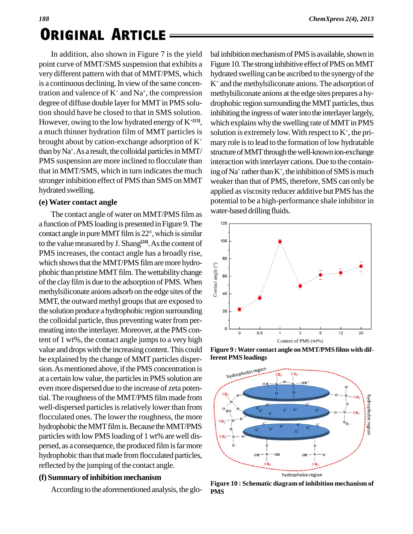# *<sup>188</sup>* **. Original ArticleORIGINAL ARTICLE**

In addition, also shown in Figure 7 is the yield point curve of MMT/SMS suspension that exhibits a very different pattern with that of MMT/PMS, which is a continuous declining. In view of the same concentration and valence of  $K^+$  and  $Na^+$ , the compression methyl degree of diffuse double layer for MMT in PMS solution should have be closed to that in SMS solution. However, owing to the low hydrated energy of  $K^{+[13]}$ , a much thinner hydration film of MMT particles is brought about by cation-exchange adsorption of  $K^+$ than by  $Na^+$ . As a result, the colloidal particles in MMT/ stru PMS suspension are more inclined to flocculate than that in MMT/SMS, which in turn indicates the much strongerinhibition effect of PMS than SMS on MMT hydrated swelling.

### **(e) Water contact angle**

The contact angle of water on MMT/PMS film as a function of PMS loading is presented in Figure 9. The <sup>120</sup> The contact angle of water on MMT/PMS film as<br>a function of PMS loading is presented in Figure 9. The<br>contact angle in pure MMT film is 22°, which is similar to the value measured by J. Shang<sup>[24]</sup>. As the content of PMS increases, the contact angle has a broadly rise,<br>which shows that the MMT/PMS film are more hydro-<br>phobic than pristine MMT film. The wettability change<br>of the clay film is due to the adsorption of PMS. When<br>methylsil phobic than pristine MMT film. The wettability change  $\frac{2}{p}$   $\frac{1}{80}$ of the clay film is due to the adsorption of PMS. When methylsiliconate anions adsorb on the edge sites of the  $\frac{1}{5}$  40 MMT, the outward methyl groups that are exposed to the solution produce a hydrophobic region surrounding the colloidal particle, thus preventing water from permeating into the interlayer. Moreover, at the PMS content of 1 wt%, the contact angle jumps to a very high value and drops with the increasing content. This could be explained by the change of MMT particles disper sion. As mentioned above, if the PMS concentration is<br>at a certain low value of at a certain low value, the particlesin PMS solution are even more dispersed due to the increase of zeta potential. The roughness of the MMT/PMS film made from  $\int_{-\infty}^{\infty}$ well-dispersed particles is relatively lower than from  $\int_{\mathbb{R}^6}$ flocculated ones. The lower the roughness, the more  $\left| \begin{array}{c} 1 \\ \text{cm} \end{array} \right|$ hydrophobic the MMT film is. Because the MMT/PMS particles with low PMS loading of 1 wt% are well dispersed, as a consequence, the produced film is far more hydrophobic than that made from flocculated particles, reflected by the jumping of the contact angle.

### **(f) Summary ofinhibition mechanism**

According to the aforementioned analysis, the glo-

bal inhibition mechanism of PMS is available, shown in Figure 10. The strong inhibitive effect of PMS on MMT hydrated swelling can be ascribed to the synergy of the  $K<sup>+</sup>$  and the methylsiliconate anions. The adsorption of methylsiliconate anions at the edge sites prepares a hydrophobic region surrounding the MMT particles, thus inhibiting the ingress of water into the interlayer largely, which explains why the swelling rate of MMT in PMS solution is extremely low. With respect to  $K^{\scriptscriptstyle +}$ , the primary role is to lead to the formation of low hydratable structure of MMT through the well-known ion-exchange interaction with interlayer cations. Due to the containing of Na<sup>+</sup> rather than  $K^+$ , the inhibition of SMS is much weaker than thatof PMS, therefore, SMS can only be applied as viscosity reducer additive but PMS hasthe potential to be a high-performance shale inhibitor in water-based drilling fluids.



**Figure 9 :Water contact angle on MMT/PMS films with different PMS loadings**



**Figure 10 : Schematic diagram of inhibition mechanism of PMS**